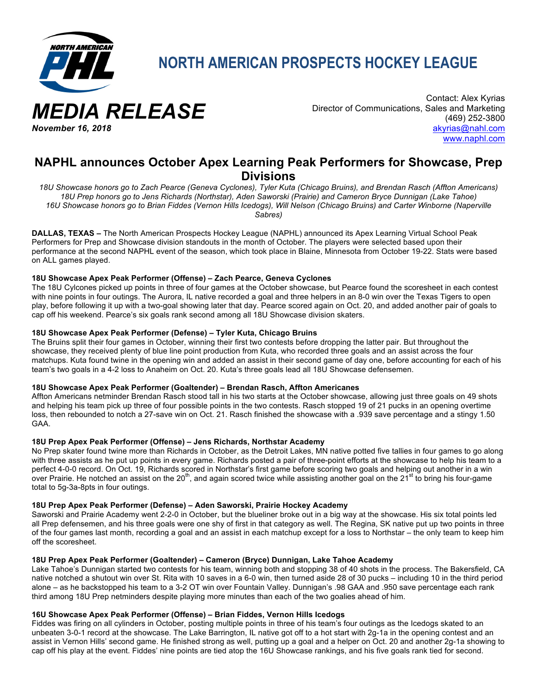

*November 16, 2018*

**NORTH AMERICAN PROSPECTS HOCKEY LEAGUE**

Contact: Alex Kyrias Director of Communications, Sales and Marketing (469) 252-3800 akyrias@nahl.com www.naphl.com

# **NAPHL announces October Apex Learning Peak Performers for Showcase, Prep Divisions**

*18U Showcase honors go to Zach Pearce (Geneva Cyclones), Tyler Kuta (Chicago Bruins), and Brendan Rasch (Affton Americans) 18U Prep honors go to Jens Richards (Northstar), Aden Saworski (Prairie) and Cameron Bryce Dunnigan (Lake Tahoe) 16U Showcase honors go to Brian Fiddes (Vernon Hills Icedogs), Will Nelson (Chicago Bruins) and Carter Winborne (Naperville Sabres)*

**DALLAS, TEXAS –** The North American Prospects Hockey League (NAPHL) announced its Apex Learning Virtual School Peak Performers for Prep and Showcase division standouts in the month of October. The players were selected based upon their performance at the second NAPHL event of the season, which took place in Blaine, Minnesota from October 19-22. Stats were based on ALL games played.

# **18U Showcase Apex Peak Performer (Offense) – Zach Pearce, Geneva Cyclones**

The 18U Cylcones picked up points in three of four games at the October showcase, but Pearce found the scoresheet in each contest with nine points in four outings. The Aurora, IL native recorded a goal and three helpers in an 8-0 win over the Texas Tigers to open play, before following it up with a two-goal showing later that day. Pearce scored again on Oct. 20, and added another pair of goals to cap off his weekend. Pearce's six goals rank second among all 18U Showcase division skaters.

#### **18U Showcase Apex Peak Performer (Defense) – Tyler Kuta, Chicago Bruins**

The Bruins split their four games in October, winning their first two contests before dropping the latter pair. But throughout the showcase, they received plenty of blue line point production from Kuta, who recorded three goals and an assist across the four matchups. Kuta found twine in the opening win and added an assist in their second game of day one, before accounting for each of his team's two goals in a 4-2 loss to Anaheim on Oct. 20. Kuta's three goals lead all 18U Showcase defensemen.

#### **18U Showcase Apex Peak Performer (Goaltender) – Brendan Rasch, Affton Americanes**

Affton Americans netminder Brendan Rasch stood tall in his two starts at the October showcase, allowing just three goals on 49 shots and helping his team pick up three of four possible points in the two contests. Rasch stopped 19 of 21 pucks in an opening overtime loss, then rebounded to notch a 27-save win on Oct. 21. Rasch finished the showcase with a .939 save percentage and a stingy 1.50 GAA.

#### **18U Prep Apex Peak Performer (Offense) – Jens Richards, Northstar Academy**

No Prep skater found twine more than Richards in October, as the Detroit Lakes, MN native potted five tallies in four games to go along with three assists as he put up points in every game. Richards posted a pair of three-point efforts at the showcase to help his team to a perfect 4-0-0 record. On Oct. 19, Richards scored in Northstar's first game before scoring two goals and helping out another in a win over Prairie. He notched an assist on the 20<sup>th</sup>, and again scored twice while assisting another goal on the 21<sup>st</sup> to bring his four-game total to 5g-3a-8pts in four outings.

#### **18U Prep Apex Peak Performer (Defense) – Aden Saworski, Prairie Hockey Academy**

Saworski and Prairie Academy went 2-2-0 in October, but the blueliner broke out in a big way at the showcase. His six total points led all Prep defensemen, and his three goals were one shy of first in that category as well. The Regina, SK native put up two points in three of the four games last month, recording a goal and an assist in each matchup except for a loss to Northstar – the only team to keep him off the scoresheet.

#### **18U Prep Apex Peak Performer (Goaltender) – Cameron (Bryce) Dunnigan, Lake Tahoe Academy**

Lake Tahoe's Dunnigan started two contests for his team, winning both and stopping 38 of 40 shots in the process. The Bakersfield, CA native notched a shutout win over St. Rita with 10 saves in a 6-0 win, then turned aside 28 of 30 pucks – including 10 in the third period alone – as he backstopped his team to a 3-2 OT win over Fountain Valley. Dunnigan's .98 GAA and .950 save percentage each rank third among 18U Prep netminders despite playing more minutes than each of the two goalies ahead of him.

# **16U Showcase Apex Peak Performer (Offense) – Brian Fiddes, Vernon Hills Icedogs**

Fiddes was firing on all cylinders in October, posting multiple points in three of his team's four outings as the Icedogs skated to an unbeaten 3-0-1 record at the showcase. The Lake Barrington, IL native got off to a hot start with 2g-1a in the opening contest and an assist in Vernon Hills' second game. He finished strong as well, putting up a goal and a helper on Oct. 20 and another 2g-1a showing to cap off his play at the event. Fiddes' nine points are tied atop the 16U Showcase rankings, and his five goals rank tied for second.